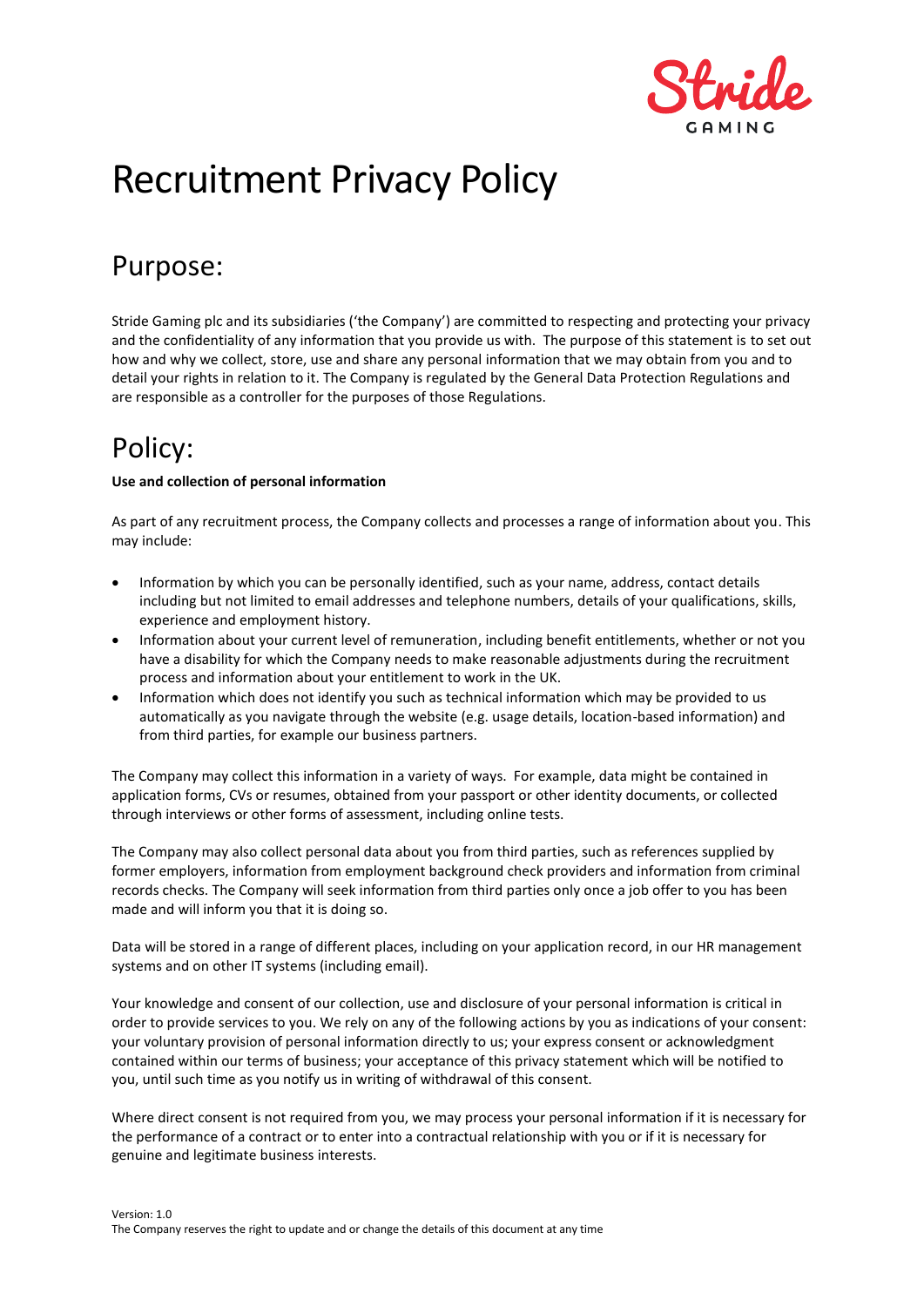

# Recruitment Privacy Policy

# Purpose:

Stride Gaming plc and its subsidiaries ('the Company') are committed to respecting and protecting your privacy and the confidentiality of any information that you provide us with. The purpose of this statement is to set out how and why we collect, store, use and share any personal information that we may obtain from you and to detail your rights in relation to it. The Company is regulated by the General Data Protection Regulations and are responsible as a controller for the purposes of those Regulations.

# Policy:

#### **Use and collection of personal information**

As part of any recruitment process, the Company collects and processes a range of information about you. This may include:

- Information by which you can be personally identified, such as your name, address, contact details including but not limited to email addresses and telephone numbers, details of your qualifications, skills, experience and employment history.
- Information about your current level of remuneration, including benefit entitlements, whether or not you have a disability for which the Company needs to make reasonable adjustments during the recruitment process and information about your entitlement to work in the UK.
- Information which does not identify you such as technical information which may be provided to us automatically as you navigate through the website (e.g. usage details, location-based information) and from third parties, for example our business partners.

The Company may collect this information in a variety of ways. For example, data might be contained in application forms, CVs or resumes, obtained from your passport or other identity documents, or collected through interviews or other forms of assessment, including online tests.

The Company may also collect personal data about you from third parties, such as references supplied by former employers, information from employment background check providers and information from criminal records checks. The Company will seek information from third parties only once a job offer to you has been made and will inform you that it is doing so.

Data will be stored in a range of different places, including on your application record, in our HR management systems and on other IT systems (including email).

Your knowledge and consent of our collection, use and disclosure of your personal information is critical in order to provide services to you. We rely on any of the following actions by you as indications of your consent: your voluntary provision of personal information directly to us; your express consent or acknowledgment contained within our terms of business; your acceptance of this privacy statement which will be notified to you, until such time as you notify us in writing of withdrawal of this consent.

Where direct consent is not required from you, we may process your personal information if it is necessary for the performance of a contract or to enter into a contractual relationship with you or if it is necessary for genuine and legitimate business interests.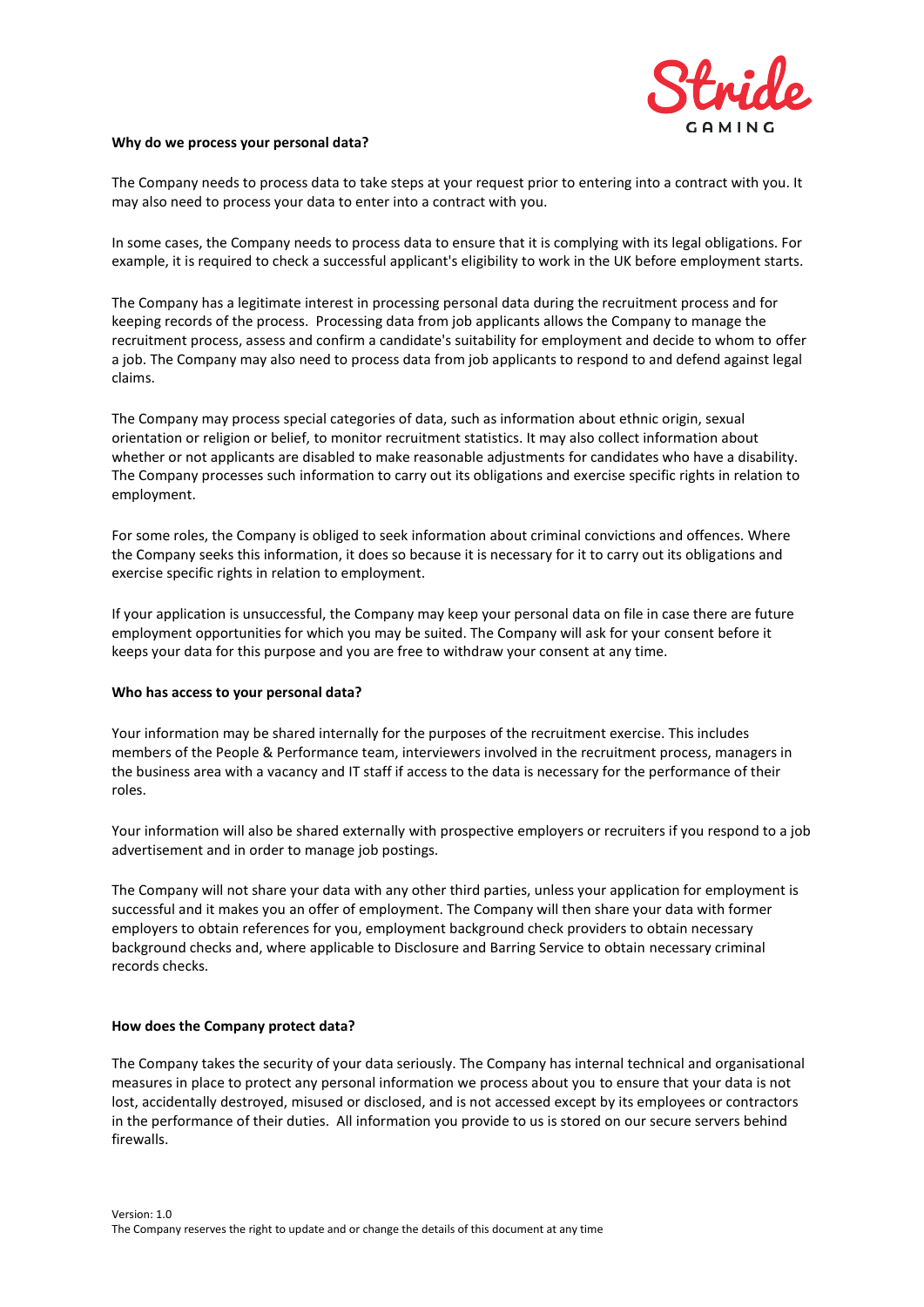

#### **Why do we process your personal data?**

The Company needs to process data to take steps at your request prior to entering into a contract with you. It may also need to process your data to enter into a contract with you.

In some cases, the Company needs to process data to ensure that it is complying with its legal obligations. For example, it is required to check a successful applicant's eligibility to work in the UK before employment starts.

The Company has a legitimate interest in processing personal data during the recruitment process and for keeping records of the process. Processing data from job applicants allows the Company to manage the recruitment process, assess and confirm a candidate's suitability for employment and decide to whom to offer a job. The Company may also need to process data from job applicants to respond to and defend against legal claims.

The Company may process special categories of data, such as information about ethnic origin, sexual orientation or religion or belief, to monitor recruitment statistics. It may also collect information about whether or not applicants are disabled to make reasonable adjustments for candidates who have a disability. The Company processes such information to carry out its obligations and exercise specific rights in relation to employment.

For some roles, the Company is obliged to seek information about criminal convictions and offences. Where the Company seeks this information, it does so because it is necessary for it to carry out its obligations and exercise specific rights in relation to employment.

If your application is unsuccessful, the Company may keep your personal data on file in case there are future employment opportunities for which you may be suited. The Company will ask for your consent before it keeps your data for this purpose and you are free to withdraw your consent at any time.

#### **Who has access to your personal data?**

Your information may be shared internally for the purposes of the recruitment exercise. This includes members of the People & Performance team, interviewers involved in the recruitment process, managers in the business area with a vacancy and IT staff if access to the data is necessary for the performance of their roles.

Your information will also be shared externally with prospective employers or recruiters if you respond to a job advertisement and in order to manage job postings.

The Company will not share your data with any other third parties, unless your application for employment is successful and it makes you an offer of employment. The Company will then share your data with former employers to obtain references for you, employment background check providers to obtain necessary background checks and, where applicable to Disclosure and Barring Service to obtain necessary criminal records checks.

#### **How does the Company protect data?**

The Company takes the security of your data seriously. The Company has internal technical and organisational measures in place to protect any personal information we process about you to ensure that your data is not lost, accidentally destroyed, misused or disclosed, and is not accessed except by its employees or contractors in the performance of their duties. All information you provide to us is stored on our secure servers behind firewalls.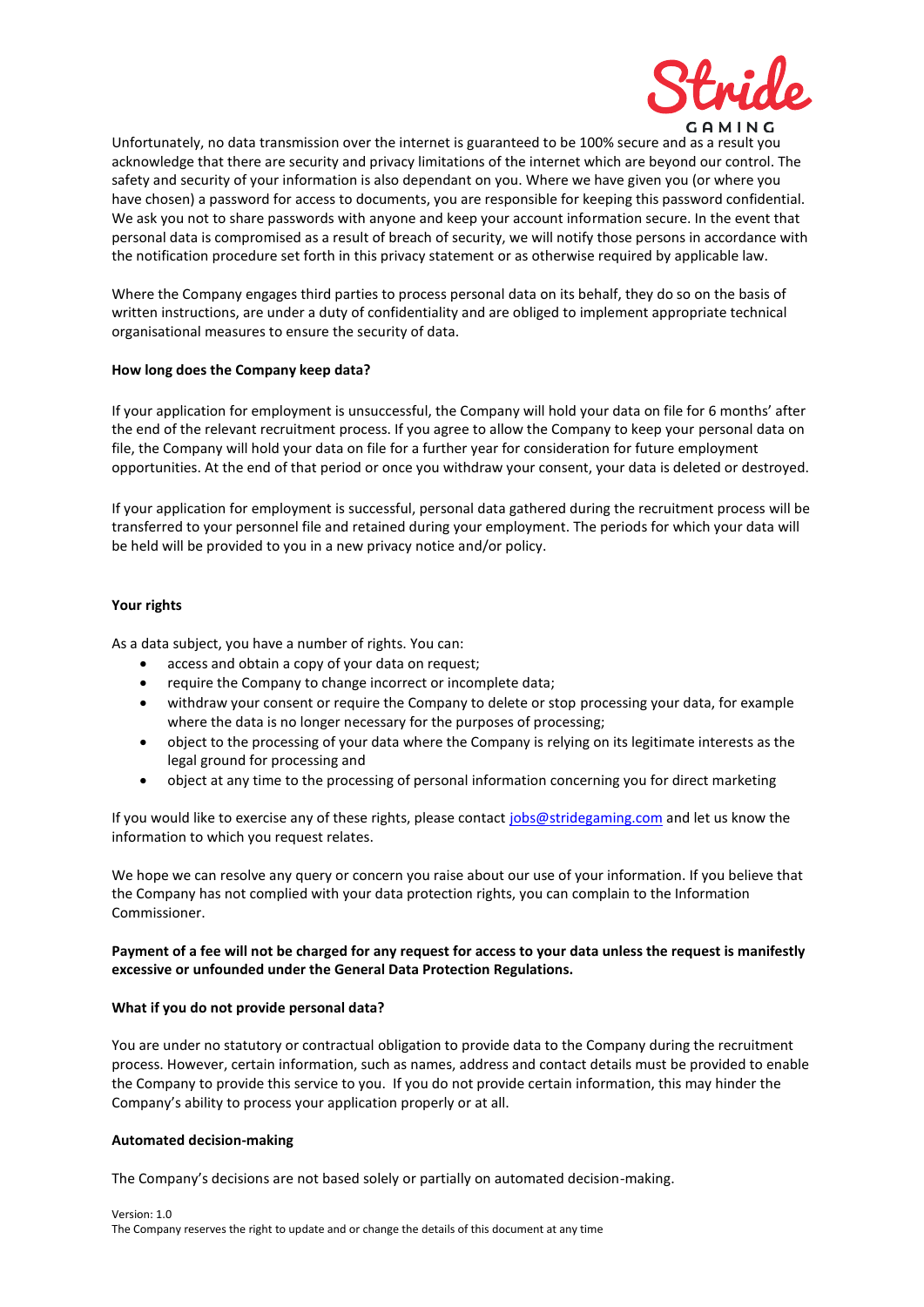

Unfortunately, no data transmission over the internet is guaranteed to be 100% secure and as a result you acknowledge that there are security and privacy limitations of the internet which are beyond our control. The safety and security of your information is also dependant on you. Where we have given you (or where you have chosen) a password for access to documents, you are responsible for keeping this password confidential. We ask you not to share passwords with anyone and keep your account information secure. In the event that personal data is compromised as a result of breach of security, we will notify those persons in accordance with the notification procedure set forth in this privacy statement or as otherwise required by applicable law.

Where the Company engages third parties to process personal data on its behalf, they do so on the basis of written instructions, are under a duty of confidentiality and are obliged to implement appropriate technical organisational measures to ensure the security of data.

#### **How long does the Company keep data?**

If your application for employment is unsuccessful, the Company will hold your data on file for 6 months' after the end of the relevant recruitment process. If you agree to allow the Company to keep your personal data on file, the Company will hold your data on file for a further year for consideration for future employment opportunities. At the end of that period or once you withdraw your consent, your data is deleted or destroyed.

If your application for employment is successful, personal data gathered during the recruitment process will be transferred to your personnel file and retained during your employment. The periods for which your data will be held will be provided to you in a new privacy notice and/or policy.

#### **Your rights**

As a data subject, you have a number of rights. You can:

- access and obtain a copy of your data on request;
- require the Company to change incorrect or incomplete data;
- withdraw your consent or require the Company to delete or stop processing your data, for example where the data is no longer necessary for the purposes of processing;
- object to the processing of your data where the Company is relying on its legitimate interests as the legal ground for processing and
- object at any time to the processing of personal information concerning you for direct marketing

If you would like to exercise any of these rights, please contact [jobs@stridegaming.com](mailto:jobs@stridegaming.com) and let us know the information to which you request relates.

We hope we can resolve any query or concern you raise about our use of your information. If you believe that the Company has not complied with your data protection rights, you can complain to the Information Commissioner.

#### **Payment of a fee will not be charged for any request for access to your data unless the request is manifestly excessive or unfounded under the General Data Protection Regulations.**

#### **What if you do not provide personal data?**

You are under no statutory or contractual obligation to provide data to the Company during the recruitment process. However, certain information, such as names, address and contact details must be provided to enable the Company to provide this service to you. If you do not provide certain information, this may hinder the Company's ability to process your application properly or at all.

#### **Automated decision-making**

The Company's decisions are not based solely or partially on automated decision-making.